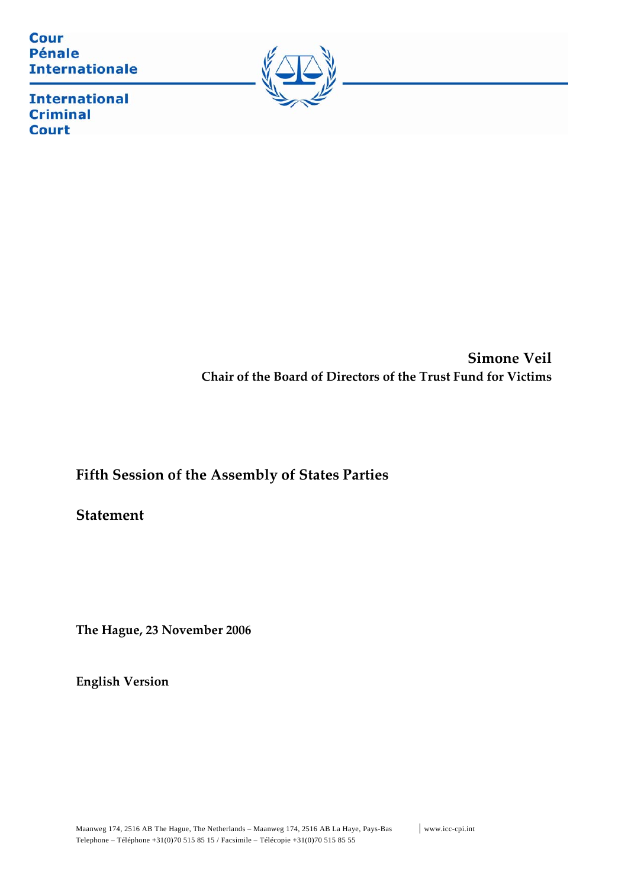**Cour Pénale Internationale** 



**International Criminal Court** 

> **Simone Veil Chair of the Board of Directors of the Trust Fund for Victims**

**Fifth Session of the Assembly of States Parties**

**Statement** 

**The Hague, 23 November 2006**

**English Version**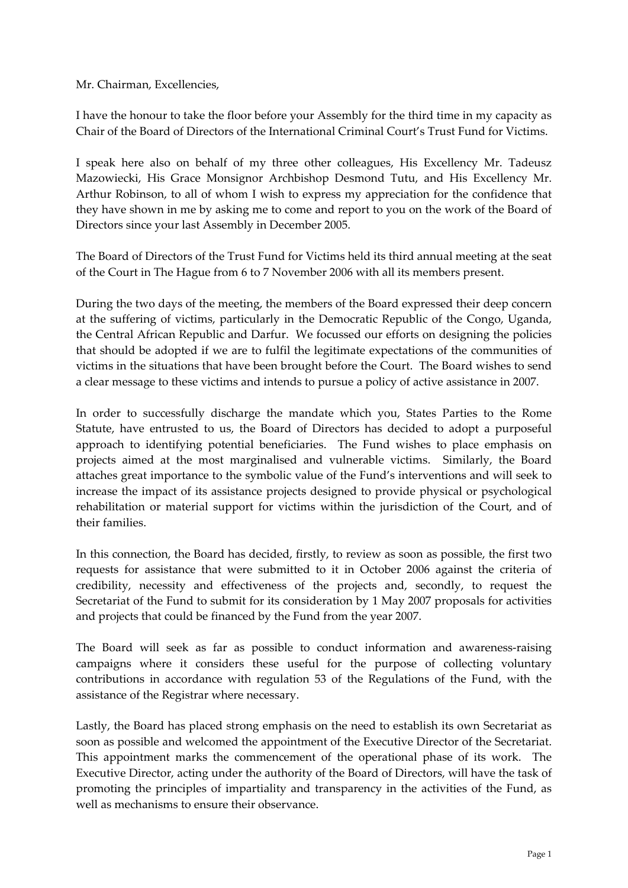Mr. Chairman, Excellencies,

I have the honour to take the floor before your Assembly for the third time in my capacity as Chair of the Board of Directors of the International Criminal Court's Trust Fund for Victims.

I speak here also on behalf of my three other colleagues, His Excellency Mr. Tadeusz Mazowiecki, His Grace Monsignor Archbishop Desmond Tutu, and His Excellency Mr. Arthur Robinson, to all of whom I wish to express my appreciation for the confidence that they have shown in me by asking me to come and report to you on the work of the Board of Directors since your last Assembly in December 2005.

The Board of Directors of the Trust Fund for Victims held its third annual meeting at the seat of the Court in The Hague from 6 to 7 November 2006 with all its members present.

During the two days of the meeting, the members of the Board expressed their deep concern at the suffering of victims, particularly in the Democratic Republic of the Congo, Uganda, the Central African Republic and Darfur. We focussed our efforts on designing the policies that should be adopted if we are to fulfil the legitimate expectations of the communities of victims in the situations that have been brought before the Court. The Board wishes to send a clear message to these victims and intends to pursue a policy of active assistance in 2007.

In order to successfully discharge the mandate which you, States Parties to the Rome Statute, have entrusted to us, the Board of Directors has decided to adopt a purposeful approach to identifying potential beneficiaries. The Fund wishes to place emphasis on projects aimed at the most marginalised and vulnerable victims. Similarly, the Board attaches great importance to the symbolic value of the Fund's interventions and will seek to increase the impact of its assistance projects designed to provide physical or psychological rehabilitation or material support for victims within the jurisdiction of the Court, and of their families.

In this connection, the Board has decided, firstly, to review as soon as possible, the first two requests for assistance that were submitted to it in October 2006 against the criteria of credibility, necessity and effectiveness of the projects and, secondly, to request the Secretariat of the Fund to submit for its consideration by 1 May 2007 proposals for activities and projects that could be financed by the Fund from the year 2007.

The Board will seek as far as possible to conduct information and awareness-raising campaigns where it considers these useful for the purpose of collecting voluntary contributions in accordance with regulation 53 of the Regulations of the Fund, with the assistance of the Registrar where necessary.

Lastly, the Board has placed strong emphasis on the need to establish its own Secretariat as soon as possible and welcomed the appointment of the Executive Director of the Secretariat. This appointment marks the commencement of the operational phase of its work. The Executive Director, acting under the authority of the Board of Directors, will have the task of promoting the principles of impartiality and transparency in the activities of the Fund, as well as mechanisms to ensure their observance.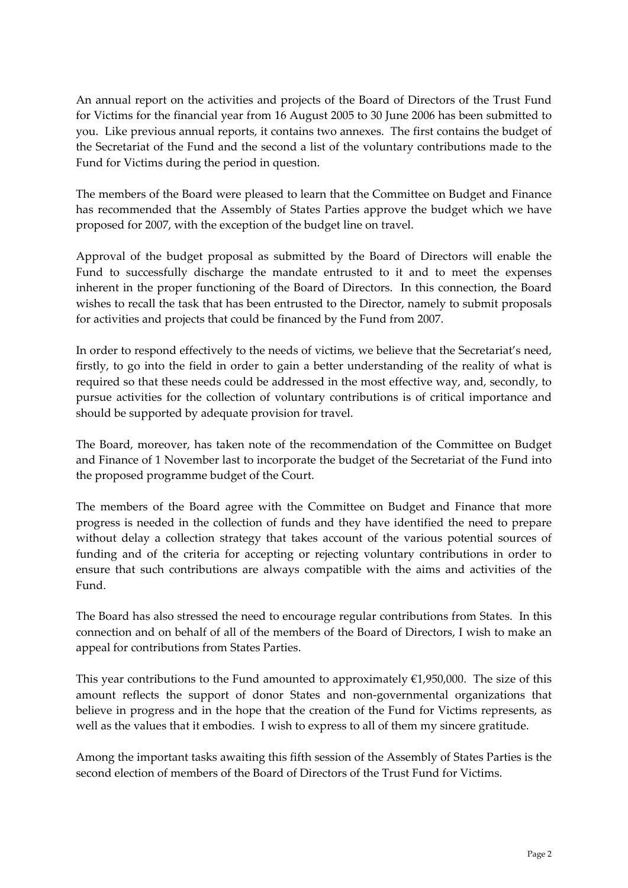An annual report on the activities and projects of the Board of Directors of the Trust Fund for Victims for the financial year from 16 August 2005 to 30 June 2006 has been submitted to you. Like previous annual reports, it contains two annexes. The first contains the budget of the Secretariat of the Fund and the second a list of the voluntary contributions made to the Fund for Victims during the period in question.

The members of the Board were pleased to learn that the Committee on Budget and Finance has recommended that the Assembly of States Parties approve the budget which we have proposed for 2007, with the exception of the budget line on travel.

Approval of the budget proposal as submitted by the Board of Directors will enable the Fund to successfully discharge the mandate entrusted to it and to meet the expenses inherent in the proper functioning of the Board of Directors. In this connection, the Board wishes to recall the task that has been entrusted to the Director, namely to submit proposals for activities and projects that could be financed by the Fund from 2007.

In order to respond effectively to the needs of victims, we believe that the Secretariat's need, firstly, to go into the field in order to gain a better understanding of the reality of what is required so that these needs could be addressed in the most effective way, and, secondly, to pursue activities for the collection of voluntary contributions is of critical importance and should be supported by adequate provision for travel.

The Board, moreover, has taken note of the recommendation of the Committee on Budget and Finance of 1 November last to incorporate the budget of the Secretariat of the Fund into the proposed programme budget of the Court.

The members of the Board agree with the Committee on Budget and Finance that more progress is needed in the collection of funds and they have identified the need to prepare without delay a collection strategy that takes account of the various potential sources of funding and of the criteria for accepting or rejecting voluntary contributions in order to ensure that such contributions are always compatible with the aims and activities of the Fund.

The Board has also stressed the need to encourage regular contributions from States. In this connection and on behalf of all of the members of the Board of Directors, I wish to make an appeal for contributions from States Parties.

This year contributions to the Fund amounted to approximately  $\epsilon$ 1,950,000. The size of this amount reflects the support of donor States and non‐governmental organizations that believe in progress and in the hope that the creation of the Fund for Victims represents, as well as the values that it embodies. I wish to express to all of them my sincere gratitude.

Among the important tasks awaiting this fifth session of the Assembly of States Parties is the second election of members of the Board of Directors of the Trust Fund for Victims.